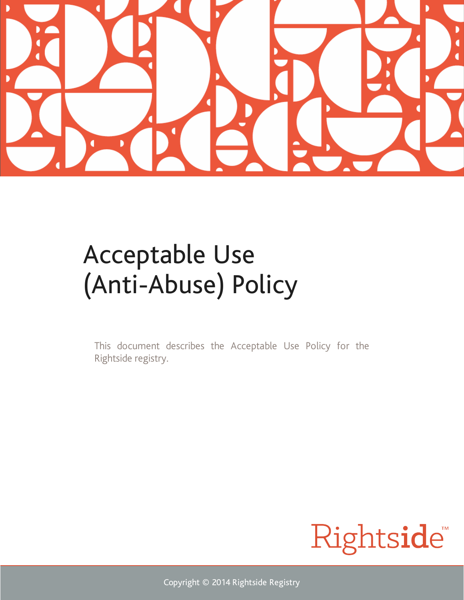

# Acceptable Use (Anti-Abuse) Policy

This document describes the Acceptable Use Policy for the Rightside registry.



Copyright © 2014 Rightside Registry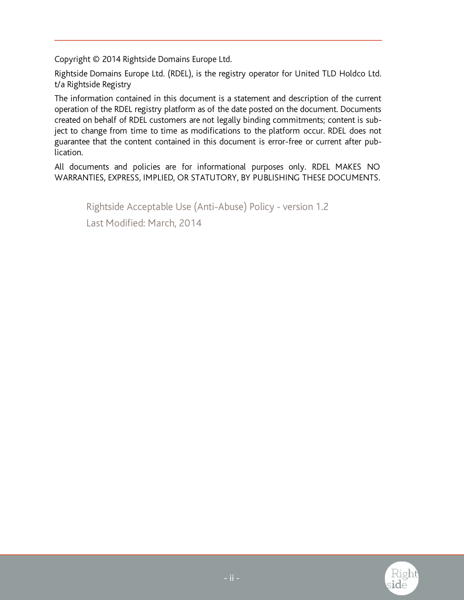Copyright © 2014 Rightside Domains Europe Ltd.

Rightside Domains Europe Ltd. (RDEL), is the registry operator for United TLD Holdco Ltd. t/a Rightside Registry

The information contained in this document is a statement and description of the current operation of the RDEL registry platform as of the date posted on the document. Documents created on behalf of RDEL customers are not legally binding commitments; content is subject to change from time to time as modifications to the platform occur. RDEL does not guarantee that the content contained in this document is error-free or current after publication.

All documents and policies are for informational purposes only. RDEL MAKES NO WARRANTIES, EXPRESS, IMPLIED, OR STATUTORY, BY PUBLISHING THESE DOCUMENTS.

Rightside Acceptable Use (Anti-Abuse) Policy - version 1.2 Last Modified: March, 2014

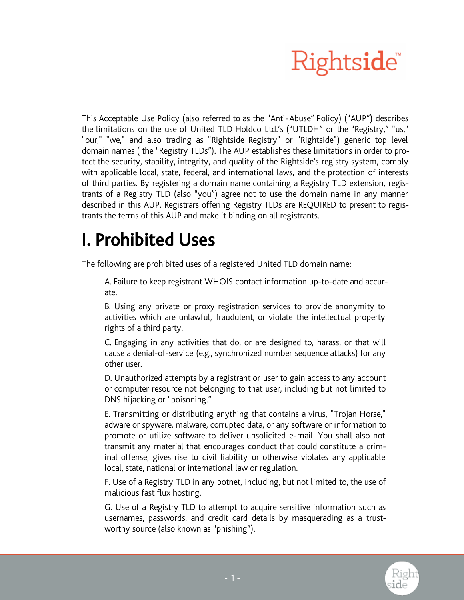

This Acceptable Use Policy (also referred to as the "Anti-Abuse" Policy) ("AUP") describes the limitations on the use of United TLD Holdco Ltd.'s ("UTLDH" or the "Registry," "us," "our," "we," and also trading as "Rightside Registry" or "Rightside") generic top level domain names ( the "Registry TLDs"). The AUP establishes these limitations in order to protect the security, stability, integrity, and quality of the Rightside's registry system, comply with applicable local, state, federal, and international laws, and the protection of interests of third parties. By registering a domain name containing a Registry TLD extension, registrants of a Registry TLD (also "you") agree not to use the domain name in any manner described in this AUP. Registrars offering Registry TLDs are REQUIRED to present to registrants the terms of this AUP and make it binding on all registrants.

#### I. Prohibited Uses

The following are prohibited uses of a registered United TLD domain name:

A. Failure to keep registrant WHOIS contact information up-to-date and accurate.

B. Using any private or proxy registration services to provide anonymity to activities which are unlawful, fraudulent, or violate the intellectual property rights of a third party.

C. Engaging in any activities that do, or are designed to, harass, or that will cause a denial-of-service (e.g., synchronized number sequence attacks) for any other user.

D. Unauthorized attempts by a registrant or user to gain access to any account or computer resource not belonging to that user, including but not limited to DNS hijacking or "poisoning."

E. Transmitting or distributing anything that contains a virus, "Trojan Horse," adware or spyware, malware, corrupted data, or any software or information to promote or utilize software to deliver unsolicited e-mail. You shall also not transmit any material that encourages conduct that could constitute a criminal offense, gives rise to civil liability or otherwise violates any applicable local, state, national or international law or regulation.

F. Use of a Registry TLD in any botnet, including, but not limited to, the use of malicious fast flux hosting.

G. Use of a Registry TLD to attempt to acquire sensitive information such as usernames, passwords, and credit card details by masquerading as a trustworthy source (also known as "phishing").

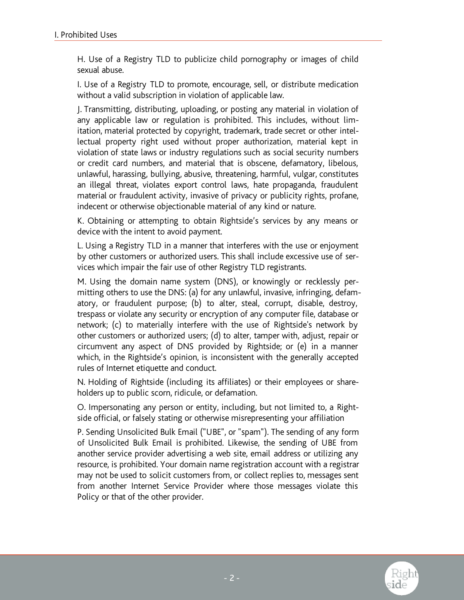H. Use of a Registry TLD to publicize child pornography or images of child sexual abuse.

I. Use of a Registry TLD to promote, encourage, sell, or distribute medication without a valid subscription in violation of applicable law.

J. Transmitting, distributing, uploading, or posting any material in violation of any applicable law or regulation is prohibited. This includes, without limitation, material protected by copyright, trademark, trade secret or other intellectual property right used without proper authorization, material kept in violation of state laws or industry regulations such as social security numbers or credit card numbers, and material that is obscene, defamatory, libelous, unlawful, harassing, bullying, abusive, threatening, harmful, vulgar, constitutes an illegal threat, violates export control laws, hate propaganda, fraudulent material or fraudulent activity, invasive of privacy or publicity rights, profane, indecent or otherwise objectionable material of any kind or nature.

K. Obtaining or attempting to obtain Rightside's services by any means or device with the intent to avoid payment.

L. Using a Registry TLD in a manner that interferes with the use or enjoyment by other customers or authorized users. This shall include excessive use of services which impair the fair use of other Registry TLD registrants.

M. Using the domain name system (DNS), or knowingly or recklessly permitting others to use the DNS: (a) for any unlawful, invasive, infringing, defamatory, or fraudulent purpose; (b) to alter, steal, corrupt, disable, destroy, trespass or violate any security or encryption of any computer file, database or network; (c) to materially interfere with the use of Rightside's network by other customers or authorized users; (d) to alter, tamper with, adjust, repair or circumvent any aspect of DNS provided by Rightside; or (e) in a manner which, in the Rightside's opinion, is inconsistent with the generally accepted rules of Internet etiquette and conduct.

N. Holding of Rightside (including its affiliates) or their employees or shareholders up to public scorn, ridicule, or defamation.

O. Impersonating any person or entity, including, but not limited to, a Rightside official, or falsely stating or otherwise misrepresenting your affiliation

P. Sending Unsolicited Bulk Email ("UBE", or "spam"). The sending of any form of Unsolicited Bulk Email is prohibited. Likewise, the sending of UBE from another service provider advertising a web site, email address or utilizing any resource, is prohibited. Your domain name registration account with a registrar may not be used to solicit customers from, or collect replies to, messages sent from another Internet Service Provider where those messages violate this Policy or that of the other provider.

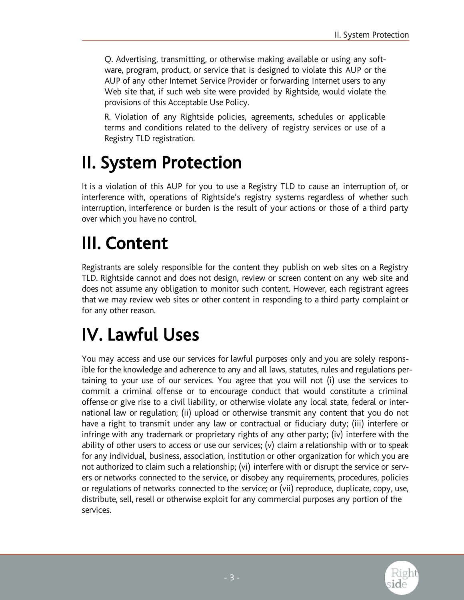Q. Advertising, transmitting, or otherwise making available or using any software, program, product, or service that is designed to violate this AUP or the AUP of any other Internet Service Provider or forwarding Internet users to any Web site that, if such web site were provided by Rightside, would violate the provisions of this Acceptable Use Policy.

R. Violation of any Rightside policies, agreements, schedules or applicable terms and conditions related to the delivery of registry services or use of a Registry TLD registration.

# II. System Protection

It is a violation of this AUP for you to use a Registry TLD to cause an interruption of, or interference with, operations of Rightside's registry systems regardless of whether such interruption, interference or burden is the result of your actions or those of a third party over which you have no control.

### III. Content

Registrants are solely responsible for the content they publish on web sites on a Registry TLD. Rightside cannot and does not design, review or screen content on any web site and does not assume any obligation to monitor such content. However, each registrant agrees that we may review web sites or other content in responding to a third party complaint or for any other reason.

## IV. Lawful Uses

You may access and use our services for lawful purposes only and you are solely responsible for the knowledge and adherence to any and all laws, statutes, rules and regulations pertaining to your use of our services. You agree that you will not (i) use the services to commit a criminal offense or to encourage conduct that would constitute a criminal offense or give rise to a civil liability, or otherwise violate any local state, federal or international law or regulation; (ii) upload or otherwise transmit any content that you do not have a right to transmit under any law or contractual or fiduciary duty; (iii) interfere or infringe with any trademark or proprietary rights of any other party; (iv) interfere with the ability of other users to access or use our services; (v) claim a relationship with or to speak for any individual, business, association, institution or other organization for which you are not authorized to claim such a relationship; (vi) interfere with or disrupt the service or servers or networks connected to the service, or disobey any requirements, procedures, policies or regulations of networks connected to the service; or (vii) reproduce, duplicate, copy, use, distribute, sell, resell or otherwise exploit for any commercial purposes any portion of the services.

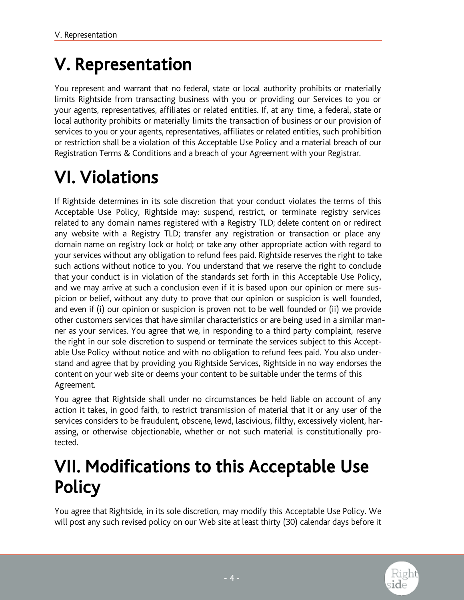### V. Representation

You represent and warrant that no federal, state or local authority prohibits or materially limits Rightside from transacting business with you or providing our Services to you or your agents, representatives, affiliates or related entities. If, at any time, a federal, state or local authority prohibits or materially limits the transaction of business or our provision of services to you or your agents, representatives, affiliates or related entities, such prohibition or restriction shall be a violation of this Acceptable Use Policy and a material breach of our Registration Terms & Conditions and a breach of your Agreement with your Registrar.

# VI. Violations

If Rightside determines in its sole discretion that your conduct violates the terms of this Acceptable Use Policy, Rightside may: suspend, restrict, or terminate registry services related to any domain names registered with a Registry TLD; delete content on or redirect any website with a Registry TLD; transfer any registration or transaction or place any domain name on registry lock or hold; or take any other appropriate action with regard to your services without any obligation to refund fees paid. Rightside reserves the right to take such actions without notice to you. You understand that we reserve the right to conclude that your conduct is in violation of the standards set forth in this Acceptable Use Policy, and we may arrive at such a conclusion even if it is based upon our opinion or mere suspicion or belief, without any duty to prove that our opinion or suspicion is well founded, and even if (i) our opinion or suspicion is proven not to be well founded or (ii) we provide other customers services that have similar characteristics or are being used in a similar manner as your services. You agree that we, in responding to a third party complaint, reserve the right in our sole discretion to suspend or terminate the services subject to this Acceptable Use Policy without notice and with no obligation to refund fees paid. You also understand and agree that by providing you Rightside Services, Rightside in no way endorses the content on your web site or deems your content to be suitable under the terms of this Agreement.

You agree that Rightside shall under no circumstances be held liable on account of any action it takes, in good faith, to restrict transmission of material that it or any user of the services considers to be fraudulent, obscene, lewd, lascivious, filthy, excessively violent, harassing, or otherwise objectionable, whether or not such material is constitutionally protected.

## VII. Modifications to this Acceptable Use **Policy**

You agree that Rightside, in its sole discretion, may modify this Acceptable Use Policy. We will post any such revised policy on our Web site at least thirty (30) calendar days before it